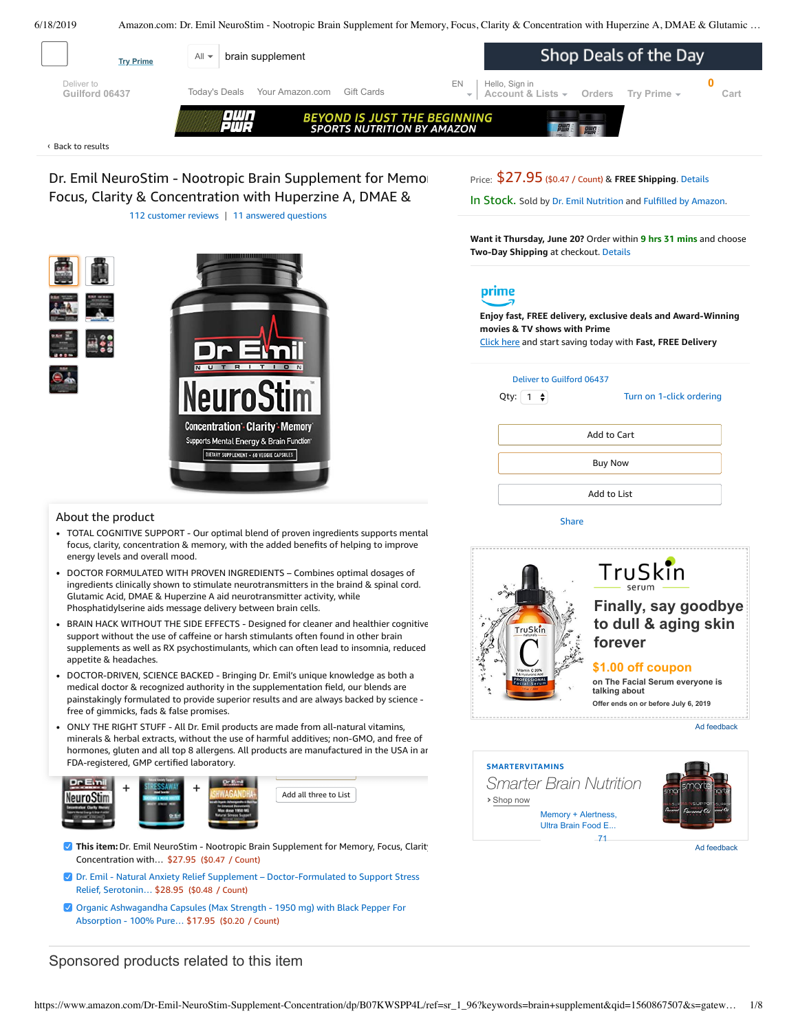<span id="page-0-0"></span>6/18/2019 Amazon.com: Dr. Emil NeuroStim - Nootropic Brain Supplement for Memory, Focus, Clarity & Concentration with Huperzine A, DMAE & Glutamic … Shop Deals of the Day All  $\blacktriangleright$  **brain supplement Try Prime 0** [EN](https://www.amazon.com/gp/customer-preferences/select-language/ref=topnav_lang?preferencesReturnUrl=%2FDr-Emil-NeuroStim-Supplement-Concentration%2Fdp%2FB07KWSPP4L%2Fref%3Dsr_1_96%3Fkeywords%3Dbrain%2Bsupplement%26qid%3D1560867507%26s%3Dgateway%26sr%3D8-96) Hello, Sign in Deliver to [Today's Deals](https://www.amazon.com/gp/goldbox?ref_=nav_cs_gb_azl) [Your Amazon.com](https://www.amazon.com/gp/yourstore/home?ref_=nav_cs_ys) [Gift Cards](https://www.amazon.com/gift-cards/b/?ie=UTF8&node=2238192011&ref_=nav_cs_gift_cards) **[Account & Lists](https://www.amazon.com/ap/signin?openid.pape.max_auth_age=0&openid.return_to=https%3A%2F%2Fwww.amazon.com%2FDr-Emil-NeuroStim-Supplement-Concentration%2Fdp%2FB07KWSPP4L%2Fref%3Dnav_ya_signin%3Fkeywords%3Dbrain%2Bsupplement%26qid%3D1560867507%26s%3Dgateway%26sr%3D8-96&openid.identity=http%3A%2F%2Fspecs.openid.net%2Fauth%2F2.0%2Fidentifier_select&openid.assoc_handle=usflex&openid.mode=checkid_setup&openid.claimed_id=http%3A%2F%2Fspecs.openid.net%2Fauth%2F2.0%2Fidentifier_select&openid.ns=http%3A%2F%2Fspecs.openid.net%2Fauth%2F2.0&) [Orders](https://www.amazon.com/gp/css/order-history?ref_=nav_orders_first) [Try Prime](https://www.amazon.com/prime?ref_=nav_prime_try_btn) [Cart](https://www.amazon.com/gp/cart/view.html?ref_=nav_cart) Guilford 06437 BEYOND IS JUST THE BEGINNING**<br>SPORTS NUTRITION BY AMAZON

Back to [results](https://www.amazon.com/s?k=brain+supplement&page=2&qid=1560775425&ref=sr_pg_2) ‹

Dr. Emil NeuroStim - Nootropic Brain Supplement for Memor Focus, Clarity & Concentration with Huperzine A, DMAE & 112 [customer](#page-4-0) reviews | 11 answered [questions](#page-3-0)

Price: \$27.95 (\$0.47 / Count) & **FREE Shipping**. [Details](https://www.amazon.com/gp/help/customer/display.html/ref=mk_sss_dp_1/?ie=UTF8&pop-up=1&nodeId=527692)

In Stock. Sold by Dr. Emil [Nutrition](https://www.amazon.com/gp/help/seller/at-a-glance.html/ref=dp_merchant_link?ie=UTF8&seller=A1NLTTDZ5XPQ52&isAmazonFulfilled=1) and [Fulfilled](https://www.amazon.com/gp/help/customer/display.html?ie=UTF8&ref=dp_fulfillment&nodeId=106096011) by Amazon.

**Want it Thursday, June 20?** Order within **9 hrs 31 mins** and choose **Two-Day Shipping** at checkout. [Details](https://www.amazon.com/gp/help/customer/display.html/ref=ftinfo_dp_?ie=UTF8&nodeId=3510241&pop-up=1)

# prime

**Enjoy fast, FREE delivery, exclusive deals and Award-Winning movies & TV shows with Prime**

Add to List

Add to Cart

Buy Now

Click here and start saving today with **Fast, FREE Delivery**



Qty:  $\begin{bmatrix} 1 \\ 2 \end{bmatrix}$ 

Turn on 1-click [ordering](https://www.amazon.com/gp/product/utility/edit-one-click-pref.html/ref=dp_oc_signin?ie=UTF8&query=&returnPath=%2Fgp%2Fproduct%2FB07KWSPP4L)

|  | About the product |
|--|-------------------|

TOTAL COGNITIVE SUPPORT - Our optimal blend of proven ingredients supports mental focus, clarity, concentration & memory, with the added benefits of helping to improve energy levels and overall mood.

**Concentration: Clarity: Memory** Supports Mental Energy & Brain Function DIETARY SUPPLEMENT - 60 VEGGIE CAPSULES

- DOCTOR FORMULATED WITH PROVEN INGREDIENTS Combines optimal dosages of ingredients clinically shown to stimulate neurotransmitters in the braind & spinal cord. Glutamic Acid, DMAE & Huperzine A aid neurotransmitter activity, while Phosphatidylserine aids message delivery between brain cells.
- BRAIN HACK WITHOUT THE SIDE EFFECTS Designed for cleaner and healthier cognitive support without the use of caffeine or harsh stimulants often found in other brain supplements as well as RX psychostimulants, which can often lead to insomnia, reduced appetite & headaches.
- [DOCTOR-DRIVEN,](https://www.amazon.com/gp/redirect.html/ref=amb_link_1?_encoding=UTF8&location=https%3A%2F%2Fwww.amazon.com%2Fb%3Fnode%3D17904040011&source=standards&token=BE1FBDC111DBAC62750B07A4AFAFEF6D1A082253&pf_rd_m=ATVPDKIKX0DER&pf_rd_s=product-alert&pf_rd_r=V52BJS304WZPVNTRJ5BP&pf_rd_r=V52BJS304WZPVNTRJ5BP&pf_rd_t=201&pf_rd_p=daeb3cfd-e4e6-41c2-9f54-b460e6d1a06e&pf_rd_p=daeb3cfd-e4e6-41c2-9f54-b460e6d1a06e&pf_rd_i=B07KWSPP4L) SCIENCE BACKED Bringing Dr. Emil's unique knowledge as both a medical doctor & recognized authority in the supplementation field, our blends are painstakingly formulated to provide superior results and are always backed by science free of gimmicks, fads & false promises.
- ONLY THE RIGHT STUFF All Dr. Emil products are made from all-natural vitamins, hormones, gluten and all top 8 allergens. All products are manufactured in the USA in ar minerals & herbal extracts, without the use of harmful additives; non-GMO, and free of FDA-registered, GMP [certified](https://www.amazon.com/Dr-Emil-Supplement-Doctor-Formulated-Production/dp/B07KW24V56/ref=pd_bxgy_121_img_2/143-6729050-3493109?_encoding=UTF8&pd_rd_i=B07KW24V56&pd_rd_r=b0ff8a02-91f6-11e9-a2fd-f53af8016d18&pd_rd_w=uhv83&pd_rd_wg=MmN8z&pf_rd_p=a2006322-0bc0-4db9-a08e-d168c18ce6f0&pf_rd_r=V52BJS304WZPVNTRJ5BP&psc=1&refRID=V52BJS304WZPVNTRJ5BP) lab[oratory.](https://www.amazon.com/Organic-Ashwagandha-Capsules-Strength-Additive-Free/dp/B07KWGDP8D/ref=pd_bxgy_121_img_3/143-6729050-3493109?_encoding=UTF8&pd_rd_i=B07KWGDP8D&pd_rd_r=b0ff8a02-91f6-11e9-a2fd-f53af8016d18&pd_rd_w=uhv83&pd_rd_wg=MmN8z&pf_rd_p=a2006322-0bc0-4db9-a08e-d168c18ce6f0&pf_rd_r=V52BJS304WZPVNTRJ5BP&psc=1&refRID=V52BJS304WZPVNTRJ5BP)



Add all three to List

- **This item:** Dr. Emil NeuroStim Nootropic Brain Supplement for Memory, Focus, Clarity Concentration with… \$27.95 (\$0.47 / Count)
- Dr. Emil Natural Anxiety Relief Supplement  [Doctor-Formulated](https://www.amazon.com/Dr-Emil-Supplement-Doctor-Formulated-Production/dp/B07KW24V56/ref=pd_bxgy_121_2/143-6729050-3493109?_encoding=UTF8&pd_rd_i=B07KW24V56&pd_rd_r=b0ff8a02-91f6-11e9-a2fd-f53af8016d18&pd_rd_w=uhv83&pd_rd_wg=MmN8z&pf_rd_p=a2006322-0bc0-4db9-a08e-d168c18ce6f0&pf_rd_r=V52BJS304WZPVNTRJ5BP&psc=1&refRID=V52BJS304WZPVNTRJ5BP) to Support Stress Relief, Serotonin… \$28.95 (\$0.48 / Count)
- Organic [Ashwagandha](https://www.amazon.com/Organic-Ashwagandha-Capsules-Strength-Additive-Free/dp/B07KWGDP8D/ref=pd_bxgy_121_3/143-6729050-3493109?_encoding=UTF8&pd_rd_i=B07KWGDP8D&pd_rd_r=b0ff8a02-91f6-11e9-a2fd-f53af8016d18&pd_rd_w=uhv83&pd_rd_wg=MmN8z&pf_rd_p=a2006322-0bc0-4db9-a08e-d168c18ce6f0&pf_rd_r=V52BJS304WZPVNTRJ5BP&psc=1&refRID=V52BJS304WZPVNTRJ5BP) Capsules (Max Strength 1950 mg) with Black Pepper For Absorption - 100% Pure… \$17.95 (\$0.20 / Count)

# Sponsored products related to this item



[Share](mailto:?body=I%20want%20to%20recommend%20this%20product%20at%20Amazon.com%0A%0ADr.%20Emil%20NeuroStim%20-%20Nootropic%20Brain%20Supplement%20for%20Memory%2C%20Focus%2C%20Clarity%20%26%20Concentration%20with%20Huperzine%20A%2C%20DMAE%20%26%20Glutamic%20Acid%20(60%20Veggie%20Capsules)%0Aby%20Dr.%20Emil%20Nutrition%0ALearn%20more%3A%20https%3A%2F%2Fwww.amazon.com%2Fdp%2FB07KWSPP4L%2Fref%3Dcm_sw_em_r_mt_dp_U_a0scDbV2J34ZV&subject=I%20want%20to%20recommend%20this%20product%20on%20Amazon)

Ad feedback



Ad feedback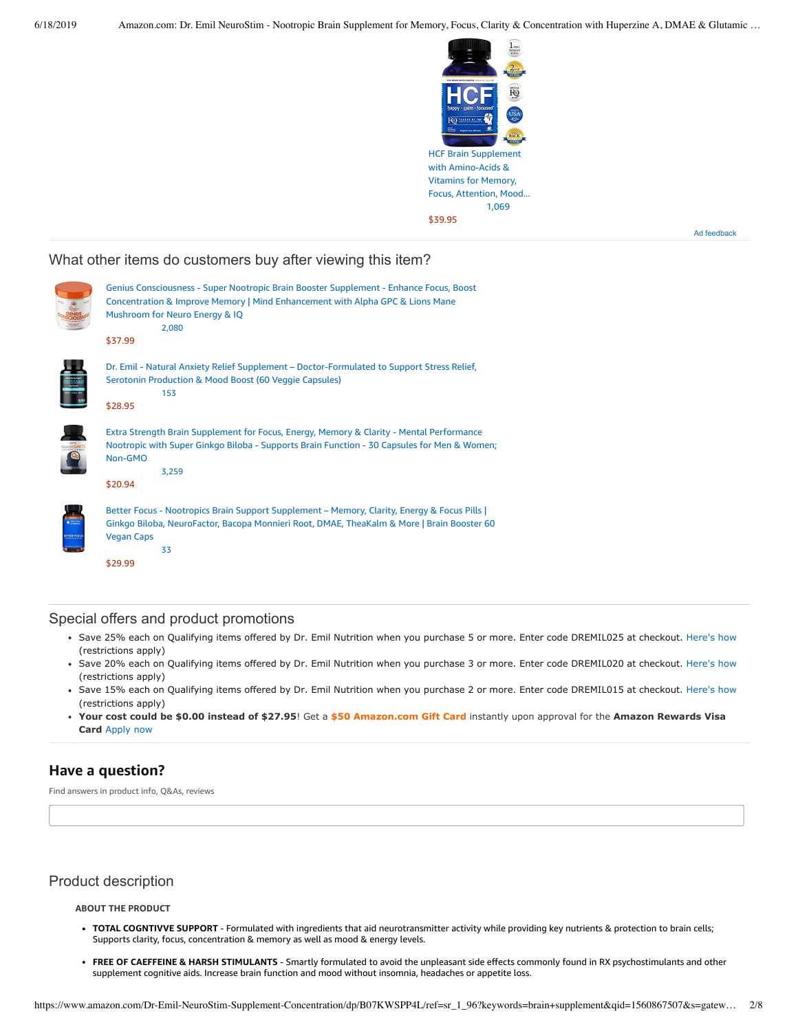

Ad feedback

## What other items do customers buy after viewing this item?



### Special offers and product promotions

- . Save 25% each on Qualifying items offered by Dr. Emil Nutrition when you purchase 5 or more. Enter code DREMIL025 at checkout. Here's how (restrictions apply)
- Save 20% each on Qualifying items offered by Dr. Emil Nutrition when you purchase 3 or more. Enter code DREMIL020 at checkout. Here's how (restrictions apply)
- · Save 15% each on Qualifying items offered by Dr. Emil Nutrition when you purchase 2 or more. Enter code DREMIL015 at checkout. Here's how (restrictions apply)
- **[Your cost could be \\$0.00 instead of \\$27.95](https://www.amazon.com/gp/cobrandcard/marketing.html?pr=con321&inc=50gcUnrec&ts=1ybidz8yrea2sewqidm9lmf9ge589g&dasin=B07KWSPP4L&plattr=math&place=detailpage&imp=afcfd2c5-41e6-43f7-8368-716aaf7b565e)**! Get a **\$50 Amazon.com Gift Card** instantly upon approval for the **Amazon Rewards Visa Card** Apply now

# **Have a question?**

Find answers in product info, Q&As, reviews

# Product description

### **ABOUT THE PRODUCT**

- **TOTAL COGNTIVVE SUPPORT** Formulated with ingredients that aid neurotransmitter activity while providing key nutrients & protection to brain cells; Supports clarity, focus, concentration & memory as well as mood & energy levels.
- **FREE OF CAEFFEINE & HARSH STIMULANTS** Smartly formulated to avoid the unpleasant side effects commonly found in RX psychostimulants and other supplement cognitive aids. Increase brain function and mood without insomnia, headaches or appetite loss.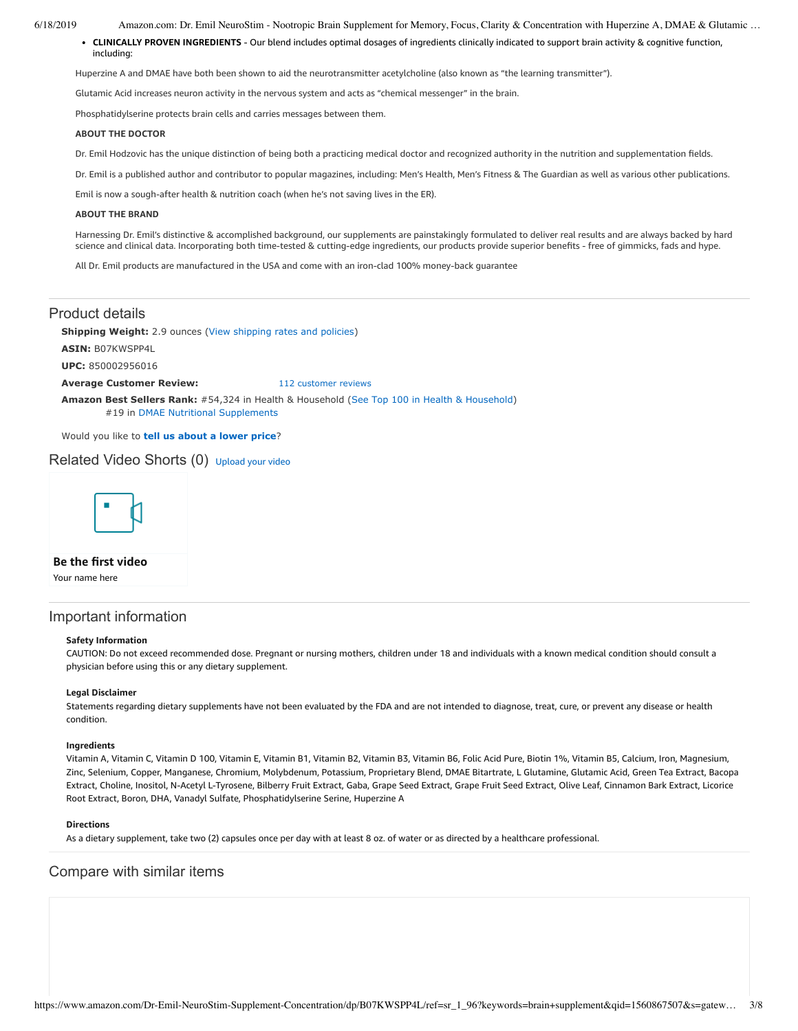6/18/2019 Amazon.com: Dr. Emil NeuroStim - Nootropic Brain Supplement for Memory, Focus, Clarity & Concentration with Huperzine A, DMAE & Glutamic …

**CLINICALLY PROVEN INGREDIENTS** - Our blend includes optimal dosages of ingredients clinically indicated to support brain activity & cognitive function, including:

Huperzine A and DMAE have both been shown to aid the neurotransmitter acetylcholine (also known as "the learning transmitter").

Glutamic Acid increases neuron activity in the nervous system and acts as "chemical messenger" in the brain.

Phosphatidylserine protects brain cells and carries messages between them.

### **ABOUT THE DOCTOR**

Dr. Emil Hodzovic has the unique distinction of being both a practicing medical doctor and recognized authority in the nutrition and supplementation fields.

Dr. Emil is a published author and contributor to popular magazines, including: Men's Health, Men's Fitness & The Guardian as well as various other publications.

Emil is now a sough-after health & nutrition coach (when he's not saving lives in the ER).

#### **ABOUT THE BRAND**

Harnessing Dr. Emil's distinctive & accomplished background, our supplements are painstakingly formulated to deliver real results and are always backed by hard science and clinical data. Incorporating both time-tested & cutting-edge ingredients, our products provide superior benefits - free of gimmicks, fads and hype.

All Dr. Emil products are manufactured in the USA and come with an iron-clad 100% money-back guarantee

### Product details

**Shipping Weight:** 2.9 ounces [\(View shipping rates and policies\)](https://www.amazon.com/gp/help/seller/shipping.html/ref=dp_pd_shipping?ie=UTF8&asin=B07KWSPP4L&seller=ATVPDKIKX0DER)

**ASIN:** B07KWSPP4L

**UPC:** 850002956016

#### **Average Customer Review:** [112 customer reviews](https://www.amazon.com/product-reviews/B07KWSPP4L/ref=acr_dpproductdetail_text?ie=UTF8&showViewpoints=1)

**Amazon Best Sellers Rank:** #54,324 in Health & Household ([See Top 100 in Health & Household\)](https://www.amazon.com/gp/bestsellers/hpc/ref=pd_zg_ts_hpc) #19 in [DMAE Nutritional Supplements](https://www.amazon.com/gp/bestsellers/hpc/3773461/ref=pd_zg_hrsr_hpc)

Would you like to **tell us about a lower price**?

### Related Video Shorts (0) [Upload](https://www.amazon.com/creatorhub/video/upload?productASIN=B07KWSPP4L&referringURL=ZHAvQjA3S1dTUFA0TA%3D%3D&ref=RVSW) your video



### **Be the first video**

Your name here

## Important information

#### **Safety Information**

CAUTION: Do not exceed recommended dose. Pregnant or nursing mothers, children under 18 and individuals with a known medical condition should consult a physician before using this or any dietary supplement.

### **Legal Disclaimer**

Statements regarding dietary supplements have not been evaluated by the FDA and are not intended to diagnose, treat, cure, or prevent any disease or health condition.

#### **Ingredients**

Vitamin A, Vitamin C, Vitamin D 100, Vitamin E, Vitamin B1, Vitamin B2, Vitamin B3, Vitamin B6, Folic Acid Pure, Biotin 1%, Vitamin B5, Calcium, Iron, Magnesium, Zinc, Selenium, Copper, Manganese, Chromium, Molybdenum, Potassium, Proprietary Blend, DMAE Bitartrate, L Glutamine, Glutamic Acid, Green Tea Extract, Bacopa Extract, Choline, Inositol, N-Acetyl L-Tyrosene, Bilberry Fruit Extract, Gaba, Grape Seed Extract, Grape Fruit Seed Extract, Olive Leaf, Cinnamon Bark Extract, Licorice Root Extract, Boron, DHA, Vanadyl Sulfate, Phosphatidylserine Serine, Huperzine A

### **Directions**

As a dietary supplement, take two (2) capsules once per day with at least 8 oz. of water or as directed by a healthcare professional.

### Compare with similar items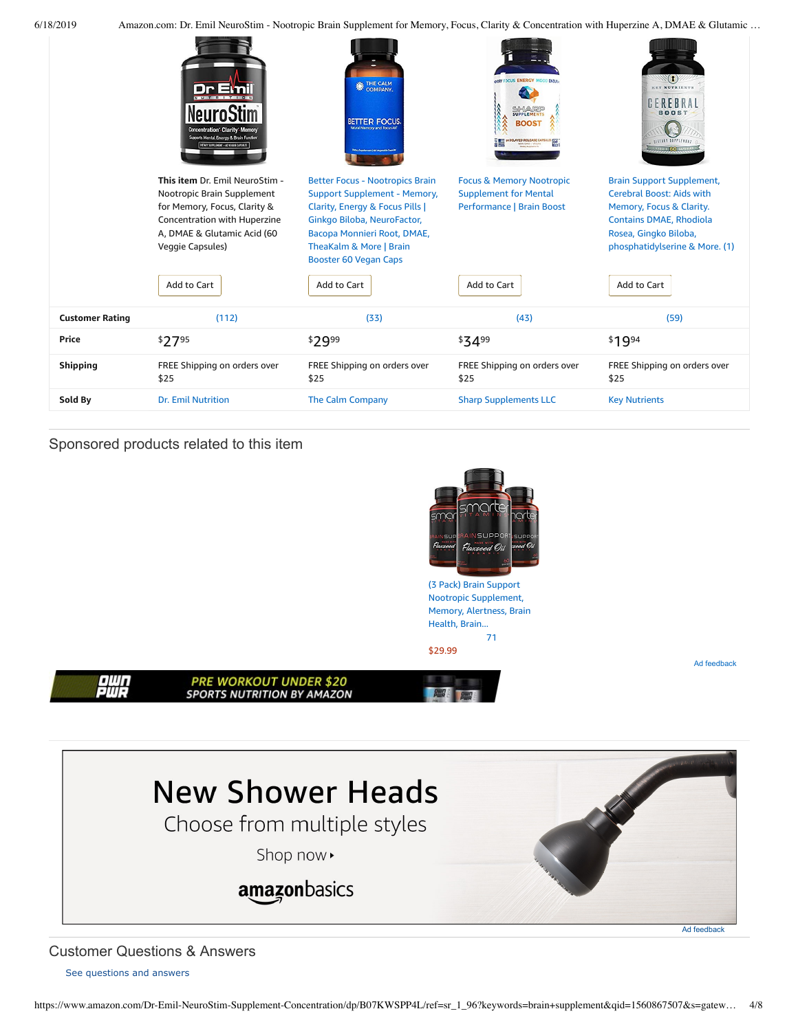| 6/18/2019 |  |
|-----------|--|
|           |  |

Amazon.com: Dr. Emil NeuroStim - Nootropic Brain Supplement for Memory, Focus, Clarity & Concentration with Huperzine A, DMAE & Glutamic ...

| <b>Shipping</b><br>Sold By | FREE Shipping on orders over<br>\$25<br><b>Dr. Emil Nutrition</b>                                                                                           | FREE Shipping on orders over<br>\$25<br>The Calm Company                                                                                                                       | FREE Shipping on orders over<br>\$25<br><b>Sharp Supplements LLC</b>                                                                | FREE Shipping on orders over<br>\$25<br><b>Key Nutrients</b>                                                                                                |
|----------------------------|-------------------------------------------------------------------------------------------------------------------------------------------------------------|--------------------------------------------------------------------------------------------------------------------------------------------------------------------------------|-------------------------------------------------------------------------------------------------------------------------------------|-------------------------------------------------------------------------------------------------------------------------------------------------------------|
| Price                      | \$2795                                                                                                                                                      | \$2999                                                                                                                                                                         | \$3499                                                                                                                              | \$1994                                                                                                                                                      |
| <b>Customer Rating</b>     | (112)                                                                                                                                                       | (33)                                                                                                                                                                           | (43)                                                                                                                                | (59)                                                                                                                                                        |
|                            | Veggie Capsules)<br>Add to Cart                                                                                                                             | TheaKalm & More   Brain<br><b>Booster 60 Vegan Caps</b><br>Add to Cart                                                                                                         | Add to Cart                                                                                                                         | phosphatidylserine & More. (1)<br>Add to Cart                                                                                                               |
|                            | This item Dr. Emil NeuroStim -<br>Nootropic Brain Supplement<br>for Memory, Focus, Clarity &<br>Concentration with Huperzine<br>A, DMAE & Glutamic Acid (60 | <b>Better Focus - Nootropics Brain</b><br><b>Support Supplement - Memory,</b><br>Clarity, Energy & Focus Pills  <br>Ginkgo Biloba, NeuroFactor,<br>Bacopa Monnieri Root, DMAE, | <b>Focus &amp; Memory Nootropic</b><br><b>Supplement for Mental</b><br><b>Performance   Brain Boost</b>                             | <b>Brain Support Supplement,</b><br><b>Cerebral Boost: Aids with</b><br>Memory, Focus & Clarity.<br><b>Contains DMAE, Rhodiola</b><br>Rosea, Gingko Biloba, |
|                            | <b>Concentration</b> Clarity Memory<br>Supports Mental Energy & Brain Function<br>DETARY SUPPLEMENT - 60 VEDDIE CAPSULES                                    | THE CALM<br><b>BETTER FOCUS</b><br><b>Natural Memory and Focus Aid</b>                                                                                                         | <b>GINY FOCUS ENERGY MOOD ENDISS</b><br><b>SIFIANRE</b><br><b>BOOST</b><br><b>DELAYED RELEASE CAPSULE</b><br><b>VON CMO I VEGAN</b> | EX NUTRIENT<br>GEREBRAI<br><b>BOOST</b><br><b><i>AIETARY SUPPLEMEN</i></b><br>VECOLE 60 CA                                                                  |

Sponsored products related to this item





<span id="page-3-0"></span>Customer Questions & Answers

[See questions and answers](https://www.amazon.com/ask/questions/asin/B07KWSPP4L/ref=cm_cd_dp_lla_ql_ll)

ewn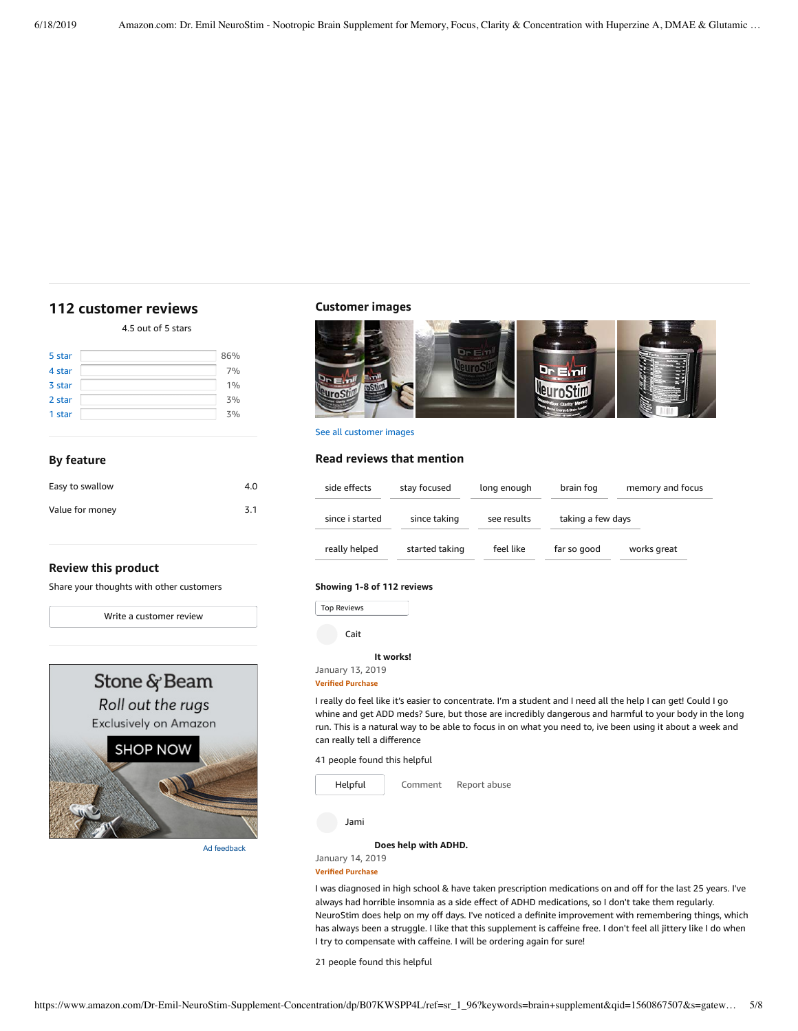# <span id="page-4-0"></span>**[112 customer](https://www.amazon.com/Dr-Emil-NeuroStim-Supplement-Concentration/product-reviews/B07KWSPP4L/ref=cm_cr_dp_d_show_all_top?ie=UTF8&reviewerType=all_reviews) reviews**

4.5 out of 5 [stars](javascript:void(0))

| 5 star | 86% |
|--------|-----|
| 4 star | 7%  |
| 3 star | 1%  |
| 2 star | 3%  |
| 1 star | 3%  |

## **By feature**

| Easy to swallow | 4.0 |
|-----------------|-----|
| Value for money | 3.1 |

### **Review this product**

Share your thoughts with other customers

Write a [customer](https://www.amazon.com/review/create-review/ref=cm_cr_dp_d_wr_but_top?ie=UTF8&channel=glance-detail&asin=B07KWSPP4L) review



Ad feedback

### **Customer images**



See all customer images

# **Read reviews that mention**

| side effects    | stay focused   | long enough | brain fog         | memory and focus |
|-----------------|----------------|-------------|-------------------|------------------|
| since i started | since taking   | see results | taking a few days |                  |
| really helped   | started taking | feel like   | far so good       | works great      |

### **Showing 1-8 of 112 reviews**

Top Reviews Top Reviews

Cait

### **It [works!](https://www.amazon.com/gp/customer-reviews/R2YG4Q32CZ2K4/ref=cm_cr_dp_d_rvw_ttl?ie=UTF8&ASIN=B07KWSPP4L)**

January 13, 2019

### **Verified Purchase**

I really do feel like it's easier to concentrate. I'm a student and I need all the help I can get! Could I go whine and get ADD meds? Sure, but those are incredibly dangerous and harmful to your body in the long run. This is a natural way to be able to focus in on what you need to, ive been using it about a week and can really tell a difference

41 people found this helpful



I was diagnosed in high school & have taken prescription medications on and off for the last 25 years. I've always had horrible insomnia as a side effect of ADHD medications, so I don't take them regularly. NeuroStim does help on my off days. I've noticed a definite improvement with remembering things, which has always been a struggle. I like that this supplement is caffeine free. I don't feel all jittery like I do when I try to compensate with caffeine. I will be ordering again for sure!

21 people found this helpful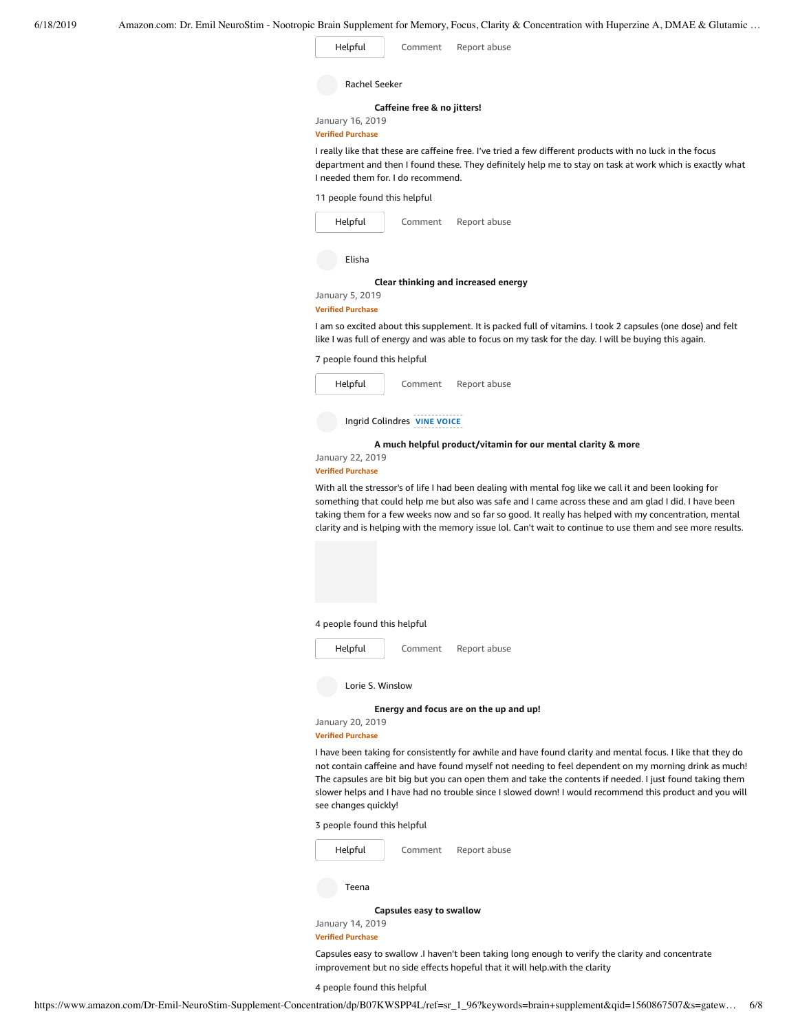| Helpful | Comment | Report abuse |
|---------|---------|--------------|
|         |         |              |

|  | Rachel Seeker |
|--|---------------|
|--|---------------|

**Caffeine free & [no jitters!](https://www.amazon.com/gp/customer-reviews/R2VDM7T4DQLRYV/ref=cm_cr_dp_d_rvw_ttl?ie=UTF8&ASIN=B07KWSPP4L)**

January 16, 2019 **Verified Purchase**

I really like that these are caffeine free. I've tried a few different products with no luck in the focus department and then I found these. They definitely help me to stay on task at work which is exactly what I needed them for. I do recommend.

| 11 people found this helpful |  |
|------------------------------|--|
|------------------------------|--|

| Helpful                  | Comment | Report abuse                                             |
|--------------------------|---------|----------------------------------------------------------|
| Elisha                   |         |                                                          |
|                          |         | Clear thinking and increased energy                      |
| January 5, 2019          |         |                                                          |
| <b>Verified Purchase</b> |         |                                                          |
|                          |         | I am so excited about this supplement. It is packed full |

I am so excited about this supplement. It is packed full of vitamins. I took 2 capsules (one dose) and felt like I was full of energy and was able to focus on my task for the day. I will be buying this again.

7 people found this helpful

| Helpful                     | Comment | Report abuse                       |  |
|-----------------------------|---------|------------------------------------|--|
| Ingrid Colindres VINE VOICE |         |                                    |  |
|                             |         | A much helpful product/vitamin for |  |
| January 22, 2019            |         |                                    |  |

#### **Verified Purchase**

With all the stressor's of life I had been dealing with mental fog like we call it and been looking for something that could help me but also was safe and I came across these and am glad I did. I have been taking them for a few weeks now and so far so good. It really has helped with my concentration, mental clarity and is helping with the memory issue lol. Can't wait to continue to use them and see more results.

**A much helpful [product/vitamin](https://www.amazon.com/gp/customer-reviews/R2JBQRYX0QM23W/ref=cm_cr_dp_d_rvw_ttl?ie=UTF8&ASIN=B07KWSPP4L) for our mental clarity & more**

4 people found this helpful

| Helpful          | Comment | Report abuse |
|------------------|---------|--------------|
| Lorie S. Winslow |         |              |

**[Energy](https://www.amazon.com/gp/customer-reviews/RMNP8DBILZTUN/ref=cm_cr_dp_d_rvw_ttl?ie=UTF8&ASIN=B07KWSPP4L) and focus are on the up and up!**

January 20, 2019 **Verified Purchase**

I have been taking for consistently for awhile and have found clarity and mental focus. I like that they do not contain caffeine and have found myself not needing to feel dependent on my morning drink as much! The capsules are bit big but you can open them and take the contents if needed. I just found taking them slower helps and I have had no trouble since I slowed down! I would recommend this product and you will see changes quickly!

3 people found this helpful



### **Verified Purchase**

Capsules easy to swallow .I haven't been taking long enough to verify the clarity and concentrate improvement but no side effects hopeful that it will help.with the clarity

4 people found this helpful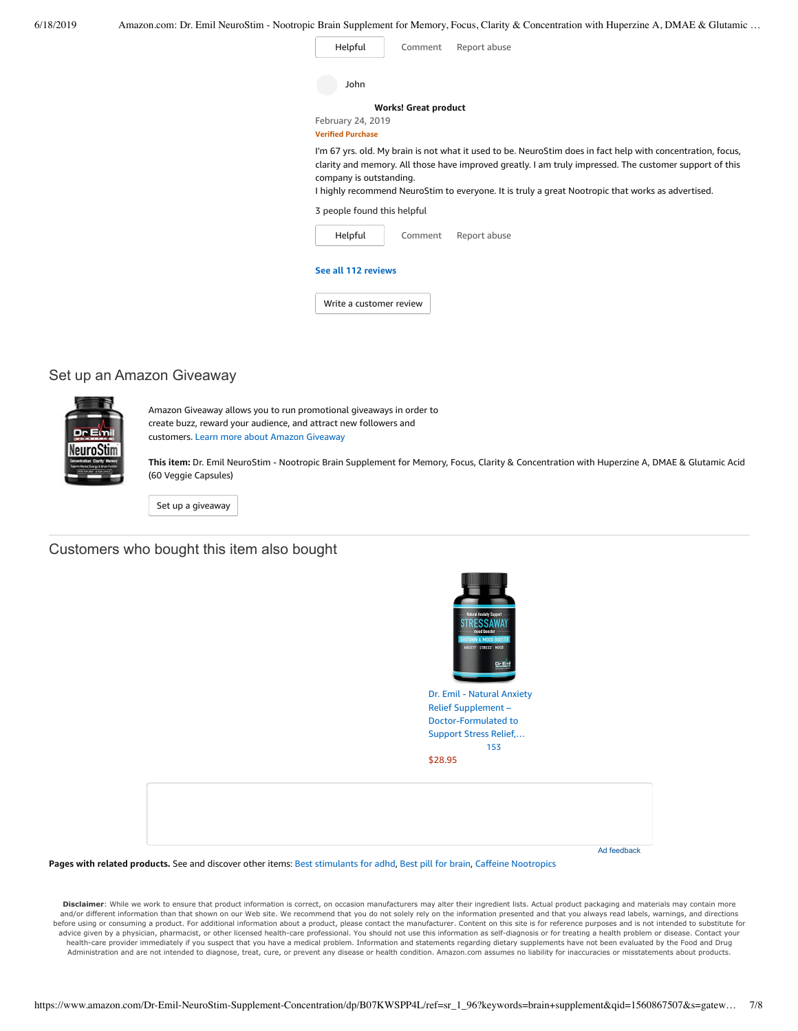| Helpful                                                           | Comment<br>Report abuse                                                                                                                                                                                      |
|-------------------------------------------------------------------|--------------------------------------------------------------------------------------------------------------------------------------------------------------------------------------------------------------|
| John                                                              |                                                                                                                                                                                                              |
|                                                                   | <b>Works! Great product</b>                                                                                                                                                                                  |
| February 24, 2019<br><b>Verified Purchase</b>                     |                                                                                                                                                                                                              |
|                                                                   |                                                                                                                                                                                                              |
|                                                                   | clarity and memory. All those have improved greatly. I am truly impressed. The customer support of this<br>I highly recommend NeuroStim to everyone. It is truly a great Nootropic that works as advertised. |
| company is outstanding.<br>3 people found this helpful<br>Helpful | Report abuse<br>Comment                                                                                                                                                                                      |
| See all 112 reviews                                               |                                                                                                                                                                                                              |

# Set up an Amazon Giveaway



Amazon Giveaway allows you to run promotional giveaways in order to create buzz, reward your audience, and attract new followers and customers. Learn more about Amazon [Giveaway](https://www.amazon.com/gp/giveaway/home?ref=aga_dp_lm)

**This item:** Dr. Emil NeuroStim - Nootropic Brain Supplement for Memory, Focus, Clarity & Concentration with Huperzine A, DMAE & Glutamic Acid (60 Veggie Capsules)

Set up a [giveaway](https://www.amazon.com/giveaway/host/setup/ref=aga_h_su_dp?_encoding=UTF8&asin=B07KWSPP4L)

## Customers who bought this item also bought



Dr. Emil - Natural Anxiety Relief Supplement – [Doctor-Formulated](https://www.amazon.com/Dr-Emil-Supplement-Doctor-Formulated-Production/dp/B07KW24V56/ref=pd_sim_121_1/143-6729050-3493109?_encoding=UTF8&pd_rd_i=B07KW24V56&pd_rd_r=b0ff8a02-91f6-11e9-a2fd-f53af8016d18&pd_rd_w=f4Iqb&pd_rd_wg=MmN8z&pf_rd_p=90485860-83e9-4fd9-b838-b28a9b7fda30&pf_rd_r=V52BJS304WZPVNTRJ5BP&psc=1&refRID=V52BJS304WZPVNTRJ5BP) to Support Stress Relief,… [153](https://www.amazon.com/product-reviews/B07KW24V56/ref=pd_sim_121_cr_1/143-6729050-3493109?ie=UTF8&pd_rd_i=B07KW24V56&pd_rd_r=b0ff8a02-91f6-11e9-a2fd-f53af8016d18&pd_rd_w=f4Iqb&pd_rd_wg=MmN8z&pf_rd_p=90485860-83e9-4fd9-b838-b28a9b7fda30&pf_rd_r=V52BJS304WZPVNTRJ5BP&refRID=V52BJS304WZPVNTRJ5BP) [\\$28.95](https://www.amazon.com/Dr-Emil-Supplement-Doctor-Formulated-Production/dp/B07KW24V56/ref=pd_sim_121_1/143-6729050-3493109?_encoding=UTF8&pd_rd_i=B07KW24V56&pd_rd_r=b0ff8a02-91f6-11e9-a2fd-f53af8016d18&pd_rd_w=f4Iqb&pd_rd_wg=MmN8z&pf_rd_p=90485860-83e9-4fd9-b838-b28a9b7fda30&pf_rd_r=V52BJS304WZPVNTRJ5BP&psc=1&refRID=V52BJS304WZPVNTRJ5BP)

Ad feedback

**Pages with related products.** See and discover other items: Best [stimulants](https://www.amazon.com/customerpicks/Best-stimulants-for-adhd/397c2c2960a86d7a08e7?_encoding=UTF8&ref_=fs_blw_d_customerpicks_1) for adhd, Best pill for [brain](https://www.amazon.com/customerpicks/Best-pill-for-brain/7cd3cb4d7b072ecb9358?_encoding=UTF8&ref_=fs_blw_d_customerpicks_2), Caffeine [Nootropics](https://www.amazon.com/slp/Caffeine-Nootropics/afket8njjk8y6dv?_encoding=UTF8&ref_=fs_blw_d_clp_3)

Disclaimer: While we work to ensure that product information is correct, on occasion manufacturers may alter their ingredient lists. Actual product packaging and materials may contain more and/or different information than that shown on our Web site. We recommend that you do not solely rely on the information presented and that you always read labels, warnings, and directions before using or consuming a product. For additional information about a product, please contact the manufacturer. Content on this site is for reference purposes and is not intended to substitute for advice given by a physician, pharmacist, or other licensed health-care professional. You should not use this information as self-diagnosis or for treating a health problem or disease. Contact your health-care provider immediately if you suspect that you have a medical problem. Information and statements regarding dietary supplements have not been evaluated by the Food and Drug<br>Administration and are not intended to